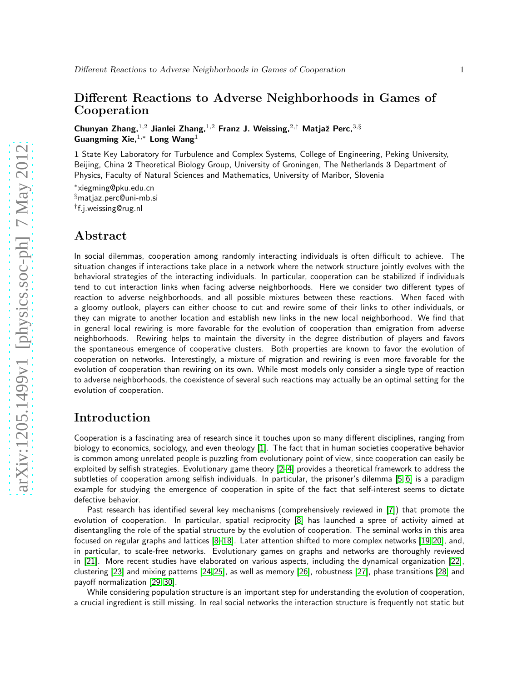## Different Reactions to Adverse Neighborhoods in Games of Cooperation

Chunyan Zhang,<sup>1,2</sup> Jianlei Zhang,<sup>1,2</sup> Franz J. Weissing,<sup>2,†</sup> Matjaž Perc,<sup>3,§</sup> Guangming Xie.<sup>1,\*</sup> Long Wang<sup>1</sup>

1 State Key Laboratory for Turbulence and Complex Systems, College of Engineering, Peking University, Beijing, China 2 Theoretical Biology Group, University of Groningen, The Netherlands 3 Department of Physics, Faculty of Natural Sciences and Mathematics, University of Maribor, Slovenia

∗ xiegming@pku.edu.cn §matjaz.perc@uni-mb.si † f.j.weissing@rug.nl

#### Abstract

In social dilemmas, cooperation among randomly interacting individuals is often difficult to achieve. The situation changes if interactions take place in a network where the network structure jointly evolves with the behavioral strategies of the interacting individuals. In particular, cooperation can be stabilized if individuals tend to cut interaction links when facing adverse neighborhoods. Here we consider two different types of reaction to adverse neighborhoods, and all possible mixtures between these reactions. When faced with a gloomy outlook, players can either choose to cut and rewire some of their links to other individuals, or they can migrate to another location and establish new links in the new local neighborhood. We find that in general local rewiring is more favorable for the evolution of cooperation than emigration from adverse neighborhoods. Rewiring helps to maintain the diversity in the degree distribution of players and favors the spontaneous emergence of cooperative clusters. Both properties are known to favor the evolution of cooperation on networks. Interestingly, a mixture of migration and rewiring is even more favorable for the evolution of cooperation than rewiring on its own. While most models only consider a single type of reaction to adverse neighborhoods, the coexistence of several such reactions may actually be an optimal setting for the evolution of cooperation.

# Introduction

Cooperation is a fascinating area of research since it touches upon so many different disciplines, ranging from biology to economics, sociology, and even theology [\[1\]](#page-4-0). The fact that in human societies cooperative behavior is common among unrelated people is puzzling from evolutionary point of view, since cooperation can easily be exploited by selfish strategies. Evolutionary game theory [\[2](#page-4-1)[–4\]](#page-4-2) provides a theoretical framework to address the subtleties of cooperation among selfish individuals. In particular, the prisoner's dilemma [\[5,](#page-4-3) [6\]](#page-4-4) is a paradigm example for studying the emergence of cooperation in spite of the fact that self-interest seems to dictate defective behavior.

Past research has identified several key mechanisms (comprehensively reviewed in [\[7\]](#page-4-5)) that promote the evolution of cooperation. In particular, spatial reciprocity [\[8\]](#page-4-6) has launched a spree of activity aimed at disentangling the role of the spatial structure by the evolution of cooperation. The seminal works in this area focused on regular graphs and lattices [\[8–](#page-4-6)[18\]](#page-5-0). Later attention shifted to more complex networks [\[19,](#page-5-1) [20\]](#page-5-2), and, in particular, to scale-free networks. Evolutionary games on graphs and networks are thoroughly reviewed in [\[21\]](#page-5-3). More recent studies have elaborated on various aspects, including the dynamical organization [\[22\]](#page-5-4), clustering [\[23\]](#page-5-5) and mixing patterns [\[24,](#page-5-6)[25\]](#page-5-7), as well as memory [\[26\]](#page-5-8), robustness [\[27\]](#page-5-9), phase transitions [\[28\]](#page-5-10) and payoff normalization [\[29,](#page-5-11) [30\]](#page-5-12).

While considering population structure is an important step for understanding the evolution of cooperation, a crucial ingredient is still missing. In real social networks the interaction structure is frequently not static but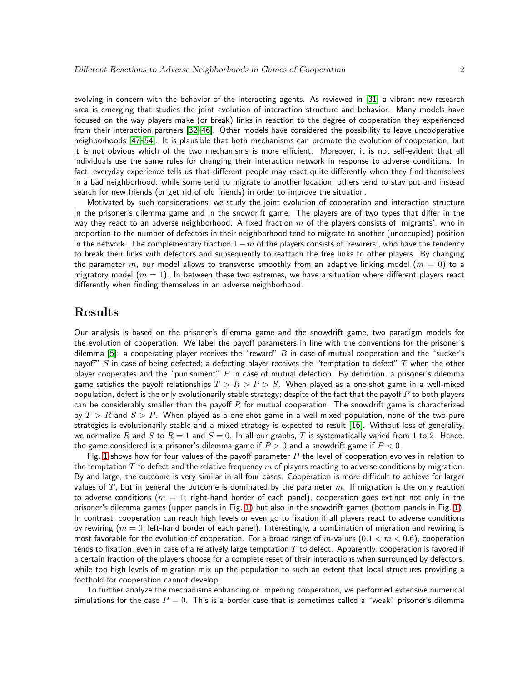evolving in concern with the behavior of the interacting agents. As reviewed in [\[31\]](#page-5-13) a vibrant new research area is emerging that studies the joint evolution of interaction structure and behavior. Many models have focused on the way players make (or break) links in reaction to the degree of cooperation they experienced from their interaction partners [\[32](#page-5-14)[–46\]](#page-6-0). Other models have considered the possibility to leave uncooperative neighborhoods [\[47–](#page-6-1)[54\]](#page-6-2). It is plausible that both mechanisms can promote the evolution of cooperation, but it is not obvious which of the two mechanisms is more efficient. Moreover, it is not self-evident that all individuals use the same rules for changing their interaction network in response to adverse conditions. In fact, everyday experience tells us that different people may react quite differently when they find themselves in a bad neighborhood: while some tend to migrate to another location, others tend to stay put and instead search for new friends (or get rid of old friends) in order to improve the situation.

Motivated by such considerations, we study the joint evolution of cooperation and interaction structure in the prisoner's dilemma game and in the snowdrift game. The players are of two types that differ in the way they react to an adverse neighborhood. A fixed fraction  $m$  of the players consists of 'migrants', who in proportion to the number of defectors in their neighborhood tend to migrate to another (unoccupied) position in the network. The complementary fraction  $1-m$  of the players consists of 'rewirers', who have the tendency to break their links with defectors and subsequently to reattach the free links to other players. By changing the parameter m, our model allows to transverse smoothly from an adaptive linking model ( $m = 0$ ) to a migratory model  $(m = 1)$ . In between these two extremes, we have a situation where different players react differently when finding themselves in an adverse neighborhood.

# Results

Our analysis is based on the prisoner's dilemma game and the snowdrift game, two paradigm models for the evolution of cooperation. We label the payoff parameters in line with the conventions for the prisoner's dilemma [\[5\]](#page-4-3): a cooperating player receives the "reward" R in case of mutual cooperation and the "sucker's payoff"  $S$  in case of being defected; a defecting player receives the "temptation to defect"  $T$  when the other player cooperates and the "punishment"  $P$  in case of mutual defection. By definition, a prisoner's dilemma game satisfies the payoff relationships  $T > R > P > S$ . When played as a one-shot game in a well-mixed population, defect is the only evolutionarily stable strategy; despite of the fact that the payoff  $P$  to both players can be considerably smaller than the payoff  $R$  for mutual cooperation. The snowdrift game is characterized by  $T > R$  and  $S > P$ . When played as a one-shot game in a well-mixed population, none of the two pure strategies is evolutionarily stable and a mixed strategy is expected to result [\[16\]](#page-4-7). Without loss of generality, we normalize R and S to  $R = 1$  and  $S = 0$ . In all our graphs, T is systematically varied from 1 to 2. Hence, the game considered is a prisoner's dilemma game if  $P > 0$  and a snowdrift game if  $P < 0$ .

Fig. [1](#page-7-0) shows how for four values of the payoff parameter  $P$  the level of cooperation evolves in relation to the temptation  $T$  to defect and the relative frequency  $m$  of players reacting to adverse conditions by migration. By and large, the outcome is very similar in all four cases. Cooperation is more difficult to achieve for larger values of  $T$ , but in general the outcome is dominated by the parameter  $m$ . If migration is the only reaction to adverse conditions ( $m = 1$ ; right-hand border of each panel), cooperation goes extinct not only in the prisoner's dilemma games (upper panels in Fig. [1\)](#page-7-0) but also in the snowdrift games (bottom panels in Fig. [1\)](#page-7-0). In contrast, cooperation can reach high levels or even go to fixation if all players react to adverse conditions by rewiring  $(m = 0)$ ; left-hand border of each panel). Interestingly, a combination of migration and rewiring is most favorable for the evolution of cooperation. For a broad range of m-values  $(0.1 < m < 0.6)$ , cooperation tends to fixation, even in case of a relatively large temptation  $T$  to defect. Apparently, cooperation is favored if a certain fraction of the players choose for a complete reset of their interactions when surrounded by defectors, while too high levels of migration mix up the population to such an extent that local structures providing a foothold for cooperation cannot develop.

To further analyze the mechanisms enhancing or impeding cooperation, we performed extensive numerical simulations for the case  $P = 0$ . This is a border case that is sometimes called a "weak" prisoner's dilemma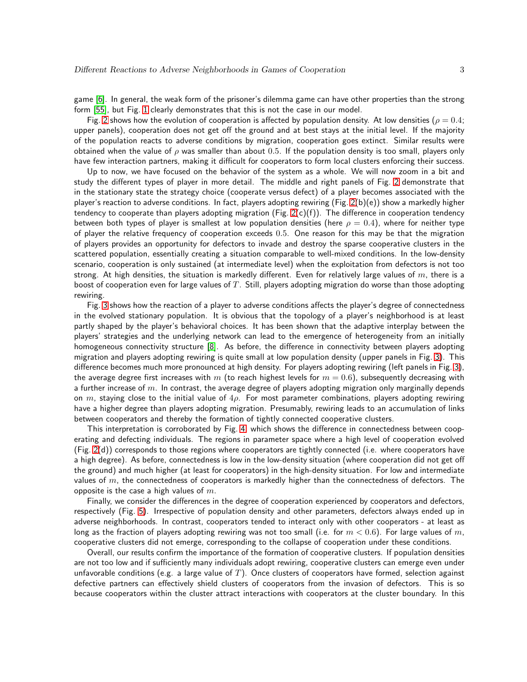game [\[6\]](#page-4-4). In general, the weak form of the prisoner's dilemma game can have other properties than the strong form [\[55\]](#page-6-3), but Fig. [1](#page-7-0) clearly demonstrates that this is not the case in our model.

Fig. [2](#page-8-0) shows how the evolution of cooperation is affected by population density. At low densities ( $\rho = 0.4$ ; upper panels), cooperation does not get off the ground and at best stays at the initial level. If the majority of the population reacts to adverse conditions by migration, cooperation goes extinct. Similar results were obtained when the value of  $\rho$  was smaller than about 0.5. If the population density is too small, players only have few interaction partners, making it difficult for cooperators to form local clusters enforcing their success.

Up to now, we have focused on the behavior of the system as a whole. We will now zoom in a bit and study the different types of player in more detail. The middle and right panels of Fig. [2](#page-8-0) demonstrate that in the stationary state the strategy choice (cooperate versus defect) of a player becomes associated with the player's reaction to adverse conditions. In fact, players adopting rewiring (Fig.  $2(b)(e)$ ) show a markedly higher tendency to cooperate than players adopting migration (Fig.  $2(c)(f)$ ). The difference in cooperation tendency between both types of player is smallest at low population densities (here  $\rho = 0.4$ ), where for neither type of player the relative frequency of cooperation exceeds 0.5. One reason for this may be that the migration of players provides an opportunity for defectors to invade and destroy the sparse cooperative clusters in the scattered population, essentially creating a situation comparable to well-mixed conditions. In the low-density scenario, cooperation is only sustained (at intermediate level) when the exploitation from defectors is not too strong. At high densities, the situation is markedly different. Even for relatively large values of  $m$ , there is a boost of cooperation even for large values of  $T$ . Still, players adopting migration do worse than those adopting rewiring.

Fig. [3](#page-9-0) shows how the reaction of a player to adverse conditions affects the player's degree of connectedness in the evolved stationary population. It is obvious that the topology of a player's neighborhood is at least partly shaped by the player's behavioral choices. It has been shown that the adaptive interplay between the players' strategies and the underlying network can lead to the emergence of heterogeneity from an initially homogeneous connectivity structure [\[8\]](#page-4-6). As before, the difference in connectivity between players adopting migration and players adopting rewiring is quite small at low population density (upper panels in Fig. [3\)](#page-9-0). This difference becomes much more pronounced at high density. For players adopting rewiring (left panels in Fig. [3\)](#page-9-0), the average degree first increases with m (to reach highest levels for  $m = 0.6$ ), subsequently decreasing with a further increase of  $m$ . In contrast, the average degree of players adopting migration only marginally depends on m, staying close to the initial value of  $4\rho$ . For most parameter combinations, players adopting rewiring have a higher degree than players adopting migration. Presumably, rewiring leads to an accumulation of links between cooperators and thereby the formation of tightly connected cooperative clusters.

This interpretation is corroborated by Fig. [4,](#page-10-0) which shows the difference in connectedness between cooperating and defecting individuals. The regions in parameter space where a high level of cooperation evolved (Fig. [2\(](#page-8-0)d)) corresponds to those regions where cooperators are tightly connected (i.e. where cooperators have a high degree). As before, connectedness is low in the low-density situation (where cooperation did not get off the ground) and much higher (at least for cooperators) in the high-density situation. For low and intermediate values of  $m$ , the connectedness of cooperators is markedly higher than the connectedness of defectors. The opposite is the case a high values of  $m$ .

Finally, we consider the differences in the degree of cooperation experienced by cooperators and defectors, respectively (Fig. [5\)](#page-11-0). Irrespective of population density and other parameters, defectors always ended up in adverse neighborhoods. In contrast, cooperators tended to interact only with other cooperators - at least as long as the fraction of players adopting rewiring was not too small (i.e. for  $m < 0.6$ ). For large values of m, cooperative clusters did not emerge, corresponding to the collapse of cooperation under these conditions.

Overall, our results confirm the importance of the formation of cooperative clusters. If population densities are not too low and if sufficiently many individuals adopt rewiring, cooperative clusters can emerge even under unfavorable conditions (e.g. a large value of  $T$ ). Once clusters of cooperators have formed, selection against defective partners can effectively shield clusters of cooperators from the invasion of defectors. This is so because cooperators within the cluster attract interactions with cooperators at the cluster boundary. In this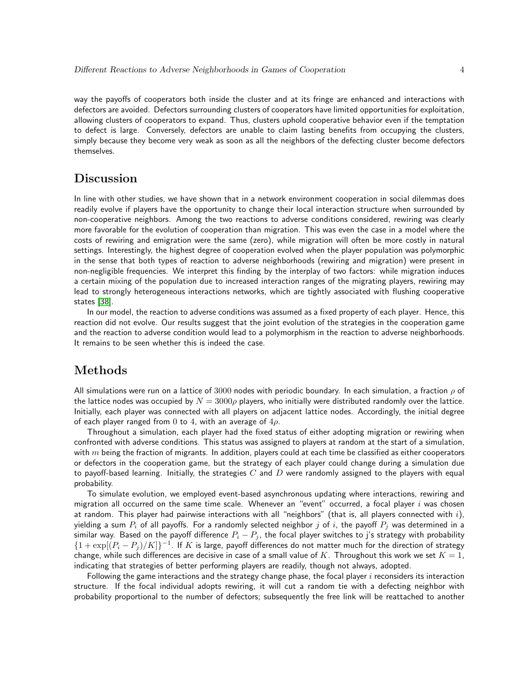way the payoffs of cooperators both inside the cluster and at its fringe are enhanced and interactions with defectors are avoided. Defectors surrounding clusters of cooperators have limited opportunities for exploitation, allowing clusters of cooperators to expand. Thus, clusters uphold cooperative behavior even if the temptation to defect is large. Conversely, defectors are unable to claim lasting benefits from occupying the clusters, simply because they become very weak as soon as all the neighbors of the defecting cluster become defectors themselves.

# Discussion

In line with other studies, we have shown that in a network environment cooperation in social dilemmas does readily evolve if players have the opportunity to change their local interaction structure when surrounded by non-cooperative neighbors. Among the two reactions to adverse conditions considered, rewiring was clearly more favorable for the evolution of cooperation than migration. This was even the case in a model where the costs of rewiring and emigration were the same (zero), while migration will often be more costly in natural settings. Interestingly, the highest degree of cooperation evolved when the player population was polymorphic in the sense that both types of reaction to adverse neighborhoods (rewiring and migration) were present in non-negligible frequencies. We interpret this finding by the interplay of two factors: while migration induces a certain mixing of the population due to increased interaction ranges of the migrating players, rewiring may lead to strongly heterogeneous interactions networks, which are tightly associated with flushing cooperative states [\[38\]](#page-6-4).

In our model, the reaction to adverse conditions was assumed as a fixed property of each player. Hence, this reaction did not evolve. Our results suggest that the joint evolution of the strategies in the cooperation game and the reaction to adverse condition would lead to a polymorphism in the reaction to adverse neighborhoods. It remains to be seen whether this is indeed the case.

# Methods

All simulations were run on a lattice of 3000 nodes with periodic boundary. In each simulation, a fraction  $\rho$  of the lattice nodes was occupied by  $N = 3000\rho$  players, who initially were distributed randomly over the lattice. Initially, each player was connected with all players on adjacent lattice nodes. Accordingly, the initial degree of each player ranged from 0 to 4, with an average of  $4\rho$ .

Throughout a simulation, each player had the fixed status of either adopting migration or rewiring when confronted with adverse conditions. This status was assigned to players at random at the start of a simulation, with  $m$  being the fraction of migrants. In addition, players could at each time be classified as either cooperators or defectors in the cooperation game, but the strategy of each player could change during a simulation due to payoff-based learning. Initially, the strategies  $C$  and  $D$  were randomly assigned to the players with equal probability.

To simulate evolution, we employed event-based asynchronous updating where interactions, rewiring and migration all occurred on the same time scale. Whenever an "event" occurred, a focal player  $i$  was chosen at random. This player had pairwise interactions with all "neighbors" (that is, all players connected with  $i$ ), yielding a sum  $P_i$  of all payoffs. For a randomly selected neighbor j of i, the payoff  $P_j$  was determined in a similar way. Based on the payoff difference  $P_i - P_j$ , the focal player switches to j's strategy with probability  ${1 + \exp[(P_i - P_j)/K]}^{-1}$ . If K is large, payoff differences do not matter much for the direction of strategy change, while such differences are decisive in case of a small value of K. Throughout this work we set  $K = 1$ , indicating that strategies of better performing players are readily, though not always, adopted.

Following the game interactions and the strategy change phase, the focal player  $i$  reconsiders its interaction structure. If the focal individual adopts rewiring, it will cut a random tie with a defecting neighbor with probability proportional to the number of defectors; subsequently the free link will be reattached to another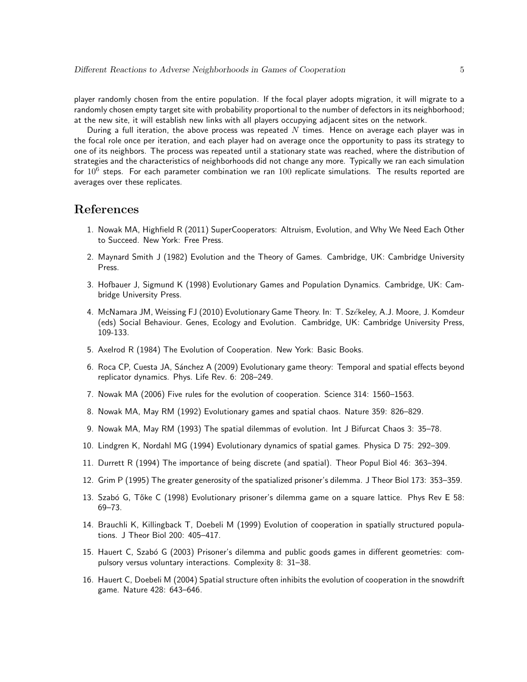player randomly chosen from the entire population. If the focal player adopts migration, it will migrate to a randomly chosen empty target site with probability proportional to the number of defectors in its neighborhood; at the new site, it will establish new links with all players occupying adjacent sites on the network.

During a full iteration, the above process was repeated  $N$  times. Hence on average each player was in the focal role once per iteration, and each player had on average once the opportunity to pass its strategy to one of its neighbors. The process was repeated until a stationary state was reached, where the distribution of strategies and the characteristics of neighborhoods did not change any more. Typically we ran each simulation for  $10^6$  steps. For each parameter combination we ran  $100$  replicate simulations. The results reported are averages over these replicates.

### <span id="page-4-0"></span>References

- <span id="page-4-1"></span>1. Nowak MA, Highfield R (2011) SuperCooperators: Altruism, Evolution, and Why We Need Each Other to Succeed. New York: Free Press.
- 2. Maynard Smith J (1982) Evolution and the Theory of Games. Cambridge, UK: Cambridge University Press.
- 3. Hofbauer J, Sigmund K (1998) Evolutionary Games and Population Dynamics. Cambridge, UK: Cambridge University Press.
- <span id="page-4-2"></span>4. McNamara JM, Weissing FJ (2010) Evolutionary Game Theory. In: T. Székeley, A.J. Moore, J. Komdeur (eds) Social Behaviour. Genes, Ecology and Evolution. Cambridge, UK: Cambridge University Press, 109-133.
- <span id="page-4-4"></span><span id="page-4-3"></span>5. Axelrod R (1984) The Evolution of Cooperation. New York: Basic Books.
- 6. Roca CP, Cuesta JA, S´anchez A (2009) Evolutionary game theory: Temporal and spatial effects beyond replicator dynamics. Phys. Life Rev. 6: 208–249.
- <span id="page-4-6"></span><span id="page-4-5"></span>7. Nowak MA (2006) Five rules for the evolution of cooperation. Science 314: 1560–1563.
- 8. Nowak MA, May RM (1992) Evolutionary games and spatial chaos. Nature 359: 826–829.
- 9. Nowak MA, May RM (1993) The spatial dilemmas of evolution. Int J Bifurcat Chaos 3: 35–78.
- 10. Lindgren K, Nordahl MG (1994) Evolutionary dynamics of spatial games. Physica D 75: 292–309.
- 11. Durrett R (1994) The importance of being discrete (and spatial). Theor Popul Biol 46: 363–394.
- 12. Grim P (1995) The greater generosity of the spatialized prisoner's dilemma. J Theor Biol 173: 353–359.
- 13. Szabó G, Tőke C (1998) Evolutionary prisoner's dilemma game on a square lattice. Phys Rev E 58: 69–73.
- 14. Brauchli K, Killingback T, Doebeli M (1999) Evolution of cooperation in spatially structured populations. J Theor Biol 200: 405–417.
- 15. Hauert C, Szabó G (2003) Prisoner's dilemma and public goods games in different geometries: compulsory versus voluntary interactions. Complexity 8: 31–38.
- <span id="page-4-7"></span>16. Hauert C, Doebeli M (2004) Spatial structure often inhibits the evolution of cooperation in the snowdrift game. Nature 428: 643–646.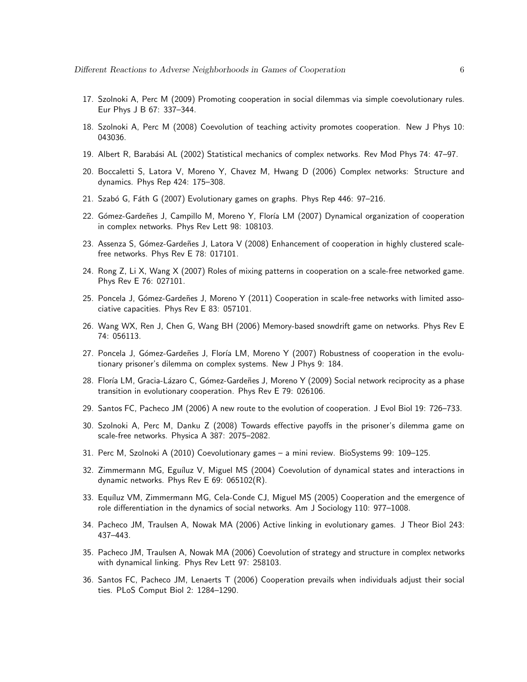- <span id="page-5-0"></span>17. Szolnoki A, Perc M (2009) Promoting cooperation in social dilemmas via simple coevolutionary rules. Eur Phys J B 67: 337–344.
- <span id="page-5-1"></span>18. Szolnoki A, Perc M (2008) Coevolution of teaching activity promotes cooperation. New J Phys 10: 043036.
- <span id="page-5-2"></span>19. Albert R, Barabási AL (2002) Statistical mechanics of complex networks. Rev Mod Phys 74: 47–97.
- 20. Boccaletti S, Latora V, Moreno Y, Chavez M, Hwang D (2006) Complex networks: Structure and dynamics. Phys Rep 424: 175–308.
- <span id="page-5-4"></span><span id="page-5-3"></span>21. Szabó G, Fáth G (2007) Evolutionary games on graphs. Phys Rep 446: 97-216.
- <span id="page-5-5"></span>22. Gómez-Gardeñes J, Campillo M, Moreno Y, Floría LM (2007) Dynamical organization of cooperation in complex networks. Phys Rev Lett 98: 108103.
- <span id="page-5-6"></span>23. Assenza S, Gómez-Gardeñes J, Latora V (2008) Enhancement of cooperation in highly clustered scalefree networks. Phys Rev E 78: 017101.
- 24. Rong Z, Li X, Wang X (2007) Roles of mixing patterns in cooperation on a scale-free networked game. Phys Rev E 76: 027101.
- <span id="page-5-7"></span>25. Poncela J, Gómez-Gardeñes J, Moreno Y (2011) Cooperation in scale-free networks with limited associative capacities. Phys Rev E 83: 057101.
- <span id="page-5-9"></span><span id="page-5-8"></span>26. Wang WX, Ren J, Chen G, Wang BH (2006) Memory-based snowdrift game on networks. Phys Rev E 74: 056113.
- 27. Poncela J, Gómez-Gardeñes J, Floría LM, Moreno Y (2007) Robustness of cooperation in the evolutionary prisoner's dilemma on complex systems. New J Phys 9: 184.
- <span id="page-5-10"></span>28. Floría LM, Gracia-Lázaro C, Gómez-Gardeñes J, Moreno Y (2009) Social network reciprocity as a phase transition in evolutionary cooperation. Phys Rev E 79: 026106.
- <span id="page-5-12"></span><span id="page-5-11"></span>29. Santos FC, Pacheco JM (2006) A new route to the evolution of cooperation. J Evol Biol 19: 726–733.
- 30. Szolnoki A, Perc M, Danku Z (2008) Towards effective payoffs in the prisoner's dilemma game on scale-free networks. Physica A 387: 2075–2082.
- <span id="page-5-14"></span><span id="page-5-13"></span>31. Perc M, Szolnoki A (2010) Coevolutionary games – a mini review. BioSystems 99: 109–125.
- 32. Zimmermann MG, Eguíluz V, Miguel MS (2004) Coevolution of dynamical states and interactions in dynamic networks. Phys Rev E 69: 065102(R).
- 33. Equíluz VM, Zimmermann MG, Cela-Conde CJ, Miguel MS (2005) Cooperation and the emergence of role differentiation in the dynamics of social networks. Am J Sociology 110: 977–1008.
- 34. Pacheco JM, Traulsen A, Nowak MA (2006) Active linking in evolutionary games. J Theor Biol 243: 437–443.
- 35. Pacheco JM, Traulsen A, Nowak MA (2006) Coevolution of strategy and structure in complex networks with dynamical linking. Phys Rev Lett 97: 258103.
- 36. Santos FC, Pacheco JM, Lenaerts T (2006) Cooperation prevails when individuals adjust their social ties. PLoS Comput Biol 2: 1284–1290.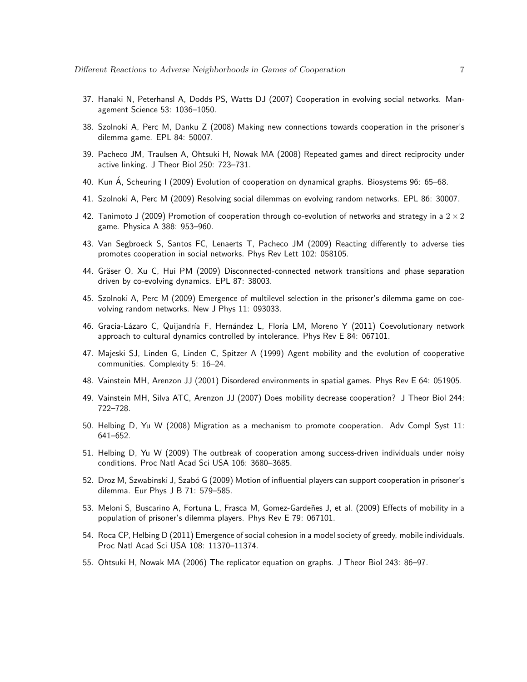- <span id="page-6-4"></span>37. Hanaki N, Peterhansl A, Dodds PS, Watts DJ (2007) Cooperation in evolving social networks. Management Science 53: 1036–1050.
- 38. Szolnoki A, Perc M, Danku Z (2008) Making new connections towards cooperation in the prisoner's dilemma game. EPL 84: 50007.
- 39. Pacheco JM, Traulsen A, Ohtsuki H, Nowak MA (2008) Repeated games and direct reciprocity under active linking. J Theor Biol 250: 723–731.
- 40. Kun A, Scheuring I (2009) Evolution of cooperation on dynamical graphs. Biosystems 96: 65–68.
- 41. Szolnoki A, Perc M (2009) Resolving social dilemmas on evolving random networks. EPL 86: 30007.
- 42. Tanimoto J (2009) Promotion of cooperation through co-evolution of networks and strategy in a  $2 \times 2$ game. Physica A 388: 953–960.
- 43. Van Segbroeck S, Santos FC, Lenaerts T, Pacheco JM (2009) Reacting differently to adverse ties promotes cooperation in social networks. Phys Rev Lett 102: 058105.
- 44. Gräser O, Xu C, Hui PM (2009) Disconnected-connected network transitions and phase separation driven by co-evolving dynamics. EPL 87: 38003.
- 45. Szolnoki A, Perc M (2009) Emergence of multilevel selection in the prisoner's dilemma game on coevolving random networks. New J Phys 11: 093033.
- <span id="page-6-0"></span>46. Gracia-Lázaro C, Quijandría F, Hernández L, Floría LM, Moreno Y (2011) Coevolutionary network approach to cultural dynamics controlled by intolerance. Phys Rev E 84: 067101.
- <span id="page-6-1"></span>47. Majeski SJ, Linden G, Linden C, Spitzer A (1999) Agent mobility and the evolution of cooperative communities. Complexity 5: 16–24.
- 48. Vainstein MH, Arenzon JJ (2001) Disordered environments in spatial games. Phys Rev E 64: 051905.
- 49. Vainstein MH, Silva ATC, Arenzon JJ (2007) Does mobility decrease cooperation? J Theor Biol 244: 722–728.
- 50. Helbing D, Yu W (2008) Migration as a mechanism to promote cooperation. Adv Compl Syst 11: 641–652.
- 51. Helbing D, Yu W (2009) The outbreak of cooperation among success-driven individuals under noisy conditions. Proc Natl Acad Sci USA 106: 3680–3685.
- 52. Droz M, Szwabinski J, Szabó G (2009) Motion of influential players can support cooperation in prisoner's dilemma. Eur Phys J B 71: 579–585.
- 53. Meloni S, Buscarino A, Fortuna L, Frasca M, Gomez-Gardeñes J, et al. (2009) Effects of mobility in a population of prisoner's dilemma players. Phys Rev E 79: 067101.
- <span id="page-6-3"></span><span id="page-6-2"></span>54. Roca CP, Helbing D (2011) Emergence of social cohesion in a model society of greedy, mobile individuals. Proc Natl Acad Sci USA 108: 11370–11374.
- 55. Ohtsuki H, Nowak MA (2006) The replicator equation on graphs. J Theor Biol 243: 86–97.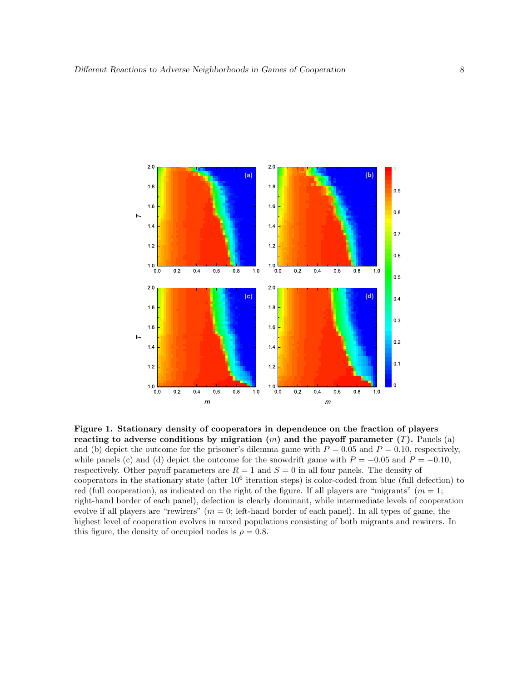<span id="page-7-0"></span>

Figure 1. Stationary density of cooperators in dependence on the fraction of players reacting to adverse conditions by migration  $(m)$  and the payoff parameter  $(T)$ . Panels (a) and (b) depict the outcome for the prisoner's dilemma game with  $P = 0.05$  and  $P = 0.10$ , respectively, while panels (c) and (d) depict the outcome for the snowdrift game with  $P = -0.05$  and  $P = -0.10$ , respectively. Other payoff parameters are  $R = 1$  and  $S = 0$  in all four panels. The density of cooperators in the stationary state (after  $10^6$  iteration steps) is color-coded from blue (full defection) to red (full cooperation), as indicated on the right of the figure. If all players are "migrants" ( $m = 1$ ; right-hand border of each panel), defection is clearly dominant, while intermediate levels of cooperation evolve if all players are "rewirers"  $(m = 0; \text{ left end border of each panel})$ . In all types of game, the highest level of cooperation evolves in mixed populations consisting of both migrants and rewirers. In this figure, the density of occupied nodes is  $\rho = 0.8$ .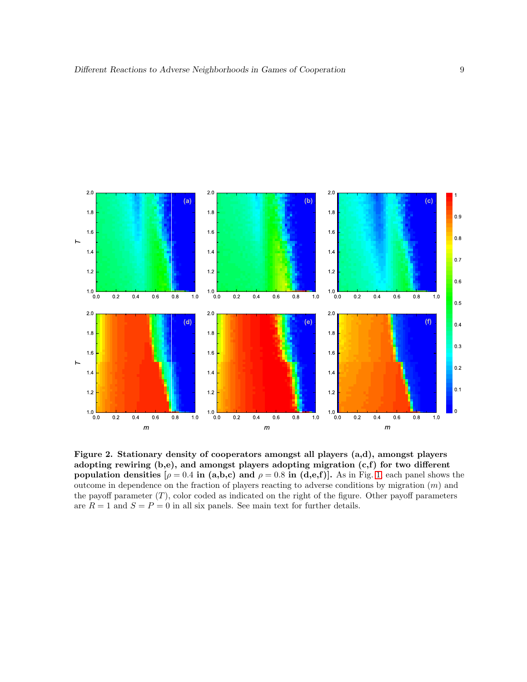<span id="page-8-0"></span>

Figure 2. Stationary density of cooperators amongst all players (a,d), amongst players adopting rewiring (b,e), and amongst players adopting migration (c,f) for two different population densities  $[\rho = 0.4 \text{ in (a,b,c) and } \rho = 0.8 \text{ in (d,e,f)}]$ . As in Fig. [1,](#page-7-0) each panel shows the outcome in dependence on the fraction of players reacting to adverse conditions by migration  $(m)$  and the payoff parameter  $(T)$ , color coded as indicated on the right of the figure. Other payoff parameters are  $R = 1$  and  $S = P = 0$  in all six panels. See main text for further details.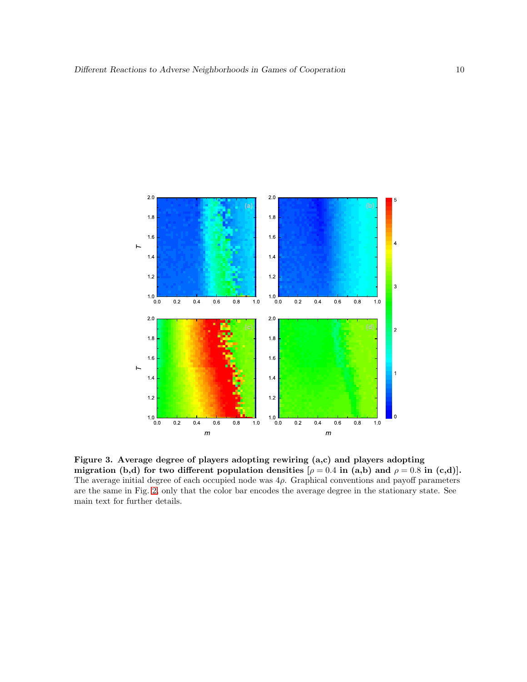<span id="page-9-0"></span>

Figure 3. Average degree of players adopting rewiring (a,c) and players adopting migration (b,d) for two different population densities  $[\rho = 0.4$  in (a,b) and  $\rho = 0.8$  in (c,d). The average initial degree of each occupied node was  $4\rho$ . Graphical conventions and payoff parameters are the same in Fig. [2,](#page-8-0) only that the color bar encodes the average degree in the stationary state. See main text for further details.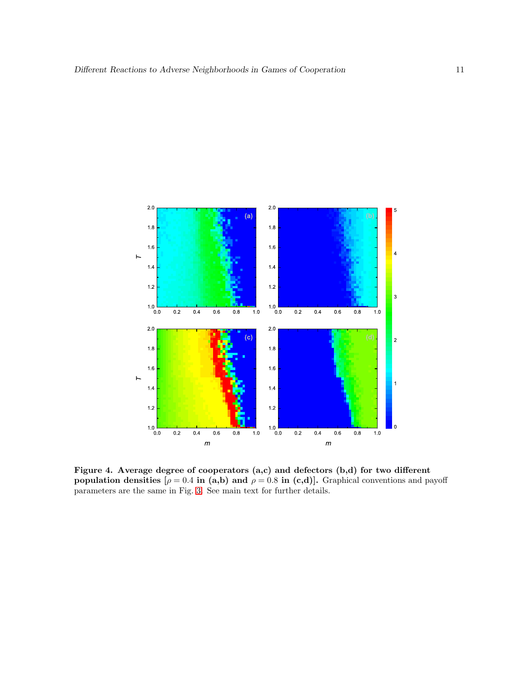<span id="page-10-0"></span>

Figure 4. Average degree of cooperators (a,c) and defectors (b,d) for two different population densities  $[\rho = 0.4$  in (a,b) and  $\rho = 0.8$  in (c,d)]. Graphical conventions and payoff parameters are the same in Fig. [3.](#page-9-0) See main text for further details.